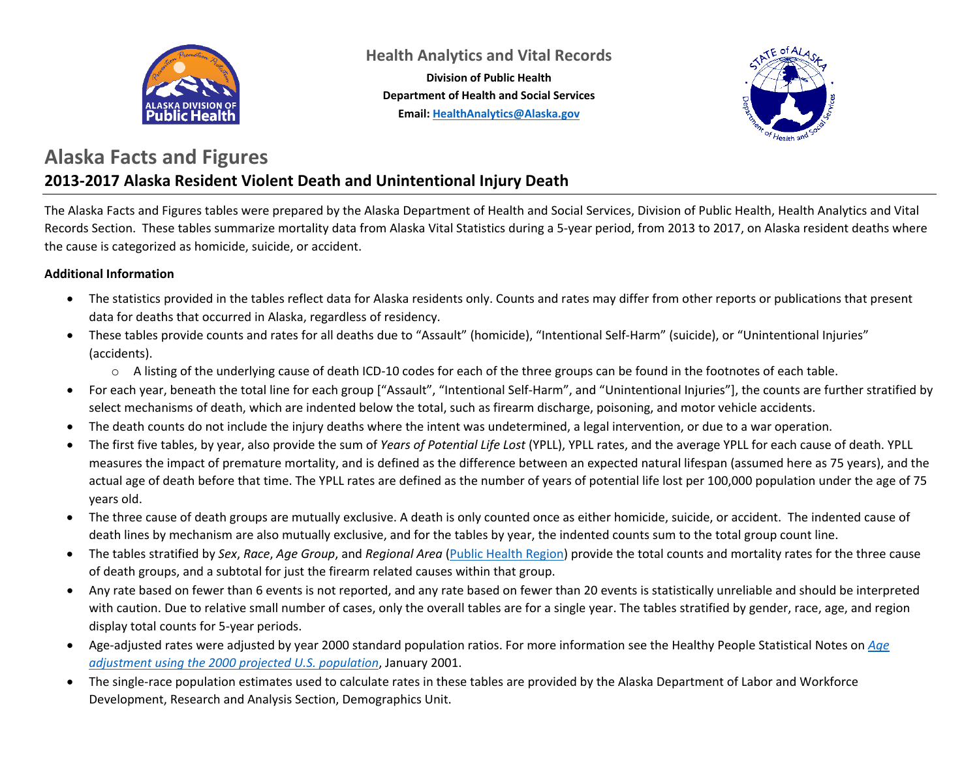

**Health Analytics and Vital Records**

**Division of Public Health Department of Health and Social Services Email: [HealthAnalytics@Alaska.gov](mailto:HealthAnalytics@Alaska.gov)**



#### **Alaska Facts and Figures 2013-2017 Alaska Resident Violent Death and Unintentional Injury Death**

The Alaska Facts and Figures tables were prepared by the Alaska Department of Health and Social Services, Division of Public Health, Health Analytics and Vital Records Section. These tables summarize mortality data from Alaska Vital Statistics during a 5-year period, from 2013 to 2017, on Alaska resident deaths where the cause is categorized as homicide, suicide, or accident.

#### **Additional Information**

- The statistics provided in the tables reflect data for Alaska residents only. Counts and rates may differ from other reports or publications that present data for deaths that occurred in Alaska, regardless of residency.
- These tables provide counts and rates for all deaths due to "Assault" (homicide), "Intentional Self-Harm" (suicide), or "Unintentional Injuries" (accidents).
	- $\circ$  A listing of the underlying cause of death ICD-10 codes for each of the three groups can be found in the footnotes of each table.
- For each year, beneath the total line for each group ["Assault", "Intentional Self-Harm", and "Unintentional Injuries"], the counts are further stratified by select mechanisms of death, which are indented below the total, such as firearm discharge, poisoning, and motor vehicle accidents.
- The death counts do not include the injury deaths where the intent was undetermined, a legal intervention, or due to a war operation.
- The first five tables, by year, also provide the sum of *Years of Potential Life Lost* (YPLL), YPLL rates, and the average YPLL for each cause of death. YPLL measures the impact of premature mortality, and is defined as the difference between an expected natural lifespan (assumed here as 75 years), and the actual age of death before that time. The YPLL rates are defined as the number of years of potential life lost per 100,000 population under the age of 75 years old.
- The three cause of death groups are mutually exclusive. A death is only counted once as either homicide, suicide, or accident. The indented cause of death lines by mechanism are also mutually exclusive, and for the tables by year, the indented counts sum to the total group count line.
- The tables stratified by *Sex*, *Race*, *Age Group*, and *Regional Area* [\(Public Health Region\)](http://dhss.alaska.gov/dph/InfoCenter/Pages/ia/brfss/geo_phr.aspx) provide the total counts and mortality rates for the three cause of death groups, and a subtotal for just the firearm related causes within that group.
- Any rate based on fewer than 6 events is not reported, and any rate based on fewer than 20 events is statistically unreliable and should be interpreted with caution. Due to relative small number of cases, only the overall tables are for a single year. The tables stratified by gender, race, age, and region display total counts for 5-year periods.
- Age-adjusted rates were adjusted by year 2000 standard population ratios. For more information see the Healthy People Statistical Notes on *[Age](https://www.cdc.gov/nchs/data/statnt/statnt20.pdf)  [adjustment using the 2000 projected U.S. population](https://www.cdc.gov/nchs/data/statnt/statnt20.pdf)*, January 2001.
- The single-race population estimates used to calculate rates in these tables are provided by the Alaska Department of Labor and Workforce Development, Research and Analysis Section, Demographics Unit.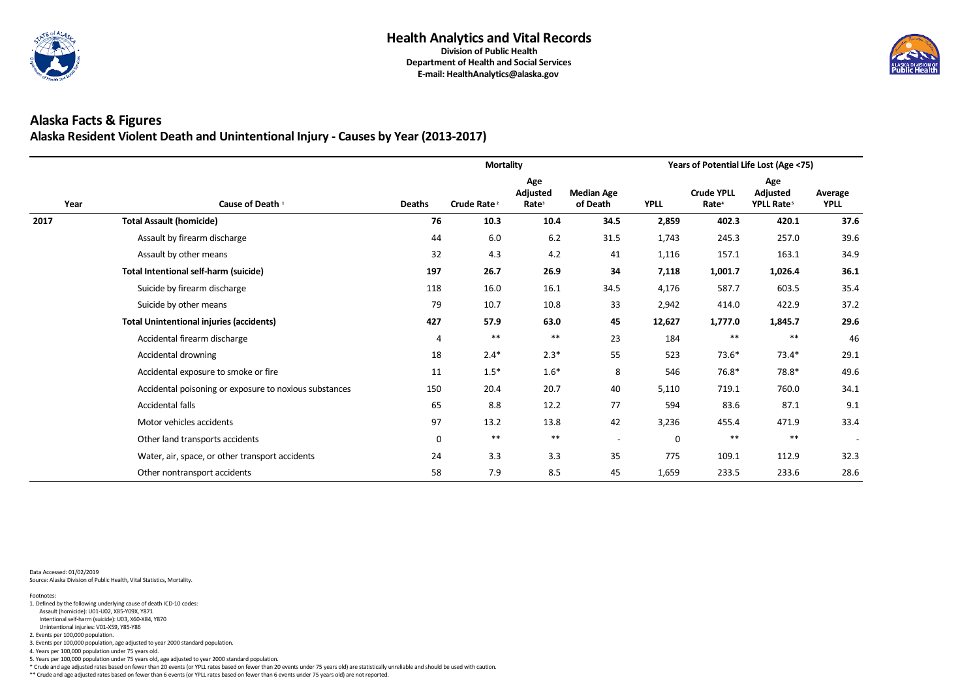

### **Alaska Facts & Figures Alaska Resident Violent Death and Unintentional Injury - Causes by Year (2013-2017)**

|      |                                                        |                | <b>Mortality</b>        |                                             |                               | Years of Potential Life Lost (Age <75)<br>Age<br><b>Crude YPLL</b><br>Adjusted<br><b>YPLL</b><br>Rate <sup>4</sup><br>YPLL Rate <sup>5</sup><br>402.3<br>420.1<br>2,859<br>257.0<br>1,743<br>245.3<br>157.1<br>163.1<br>1,116<br>7,118<br>1,001.7<br>1,026.4<br>603.5<br>4,176<br>587.7<br>422.9<br>2,942<br>414.0<br>12,627<br>1,777.0<br>1,845.7<br>$***$<br>$***$<br>184<br>523<br>$73.6*$<br>$73.4*$<br>78.8*<br>546<br>$76.8*$<br>760.0<br>5,110<br>719.1<br>594<br>83.6<br>87.1<br>3,236<br>471.9<br>455.4<br>$***$<br>$***$<br>$\mathbf 0$ |       |       |                          |
|------|--------------------------------------------------------|----------------|-------------------------|---------------------------------------------|-------------------------------|---------------------------------------------------------------------------------------------------------------------------------------------------------------------------------------------------------------------------------------------------------------------------------------------------------------------------------------------------------------------------------------------------------------------------------------------------------------------------------------------------------------------------------------------------|-------|-------|--------------------------|
| Year | Cause of Death <sup>1</sup>                            | <b>Deaths</b>  | Crude Rate <sup>2</sup> | Age<br><b>Adjusted</b><br>Rate <sup>3</sup> | <b>Median Age</b><br>of Death |                                                                                                                                                                                                                                                                                                                                                                                                                                                                                                                                                   |       |       | Average<br><b>YPLL</b>   |
| 2017 | <b>Total Assault (homicide)</b>                        | 76             | 10.3                    | 10.4                                        | 34.5                          |                                                                                                                                                                                                                                                                                                                                                                                                                                                                                                                                                   |       |       | 37.6                     |
|      | Assault by firearm discharge                           | 44             | 6.0                     | 6.2                                         | 31.5                          |                                                                                                                                                                                                                                                                                                                                                                                                                                                                                                                                                   |       |       | 39.6                     |
|      | Assault by other means                                 | 32             | 4.3                     | 4.2                                         | 41                            |                                                                                                                                                                                                                                                                                                                                                                                                                                                                                                                                                   |       |       | 34.9                     |
|      | <b>Total Intentional self-harm (suicide)</b>           | 197            | 26.7                    | 26.9                                        | 34                            |                                                                                                                                                                                                                                                                                                                                                                                                                                                                                                                                                   |       |       | 36.1                     |
|      | Suicide by firearm discharge                           | 118            | 16.0                    | 16.1                                        | 34.5                          |                                                                                                                                                                                                                                                                                                                                                                                                                                                                                                                                                   |       |       | 35.4                     |
|      | Suicide by other means                                 | 79             | 10.7                    | 10.8                                        | 33                            |                                                                                                                                                                                                                                                                                                                                                                                                                                                                                                                                                   |       |       | 37.2                     |
|      | <b>Total Unintentional injuries (accidents)</b>        | 427            | 57.9                    | 63.0                                        | 45                            |                                                                                                                                                                                                                                                                                                                                                                                                                                                                                                                                                   |       |       | 29.6                     |
|      | Accidental firearm discharge                           | $\overline{4}$ | $***$                   | $***$                                       | 23                            |                                                                                                                                                                                                                                                                                                                                                                                                                                                                                                                                                   |       |       | 46                       |
|      | Accidental drowning                                    | 18             | $2.4*$                  | $2.3*$                                      | 55                            |                                                                                                                                                                                                                                                                                                                                                                                                                                                                                                                                                   |       |       | 29.1                     |
|      | Accidental exposure to smoke or fire                   | 11             | $1.5*$                  | $1.6*$                                      | 8                             |                                                                                                                                                                                                                                                                                                                                                                                                                                                                                                                                                   |       |       | 49.6                     |
|      | Accidental poisoning or exposure to noxious substances | 150            | 20.4                    | 20.7                                        | 40                            |                                                                                                                                                                                                                                                                                                                                                                                                                                                                                                                                                   |       |       | 34.1                     |
|      | Accidental falls                                       | 65             | 8.8                     | 12.2                                        | 77                            |                                                                                                                                                                                                                                                                                                                                                                                                                                                                                                                                                   |       |       | 9.1                      |
|      | Motor vehicles accidents                               | 97             | 13.2                    | 13.8                                        | 42                            |                                                                                                                                                                                                                                                                                                                                                                                                                                                                                                                                                   |       |       | 33.4                     |
|      | Other land transports accidents                        | $\mathbf 0$    | $***$                   | $***$                                       | $\blacksquare$                |                                                                                                                                                                                                                                                                                                                                                                                                                                                                                                                                                   |       |       | $\overline{\phantom{a}}$ |
|      | Water, air, space, or other transport accidents        | 24             | 3.3                     | 3.3                                         | 35                            | 775                                                                                                                                                                                                                                                                                                                                                                                                                                                                                                                                               | 109.1 | 112.9 | 32.3                     |
|      | Other nontransport accidents                           | 58             | 7.9                     | 8.5                                         | 45                            | 1,659                                                                                                                                                                                                                                                                                                                                                                                                                                                                                                                                             | 233.5 | 233.6 | 28.6                     |

Data Accessed: 01/02/2019 Source: Alaska Division of Public Health, Vital Statistics, Mortality.

\*\* Crude and age adjusted rates based on fewer than 6 events (or YPLL rates based on fewer than 6 events under 75 years old) are not reported.



5. Years per 100,000 population under 75 years old, age adjusted to year 2000 standard population.

\* Crude and age adjusted rates based on fewer than 20 events (or YPLL rates based on fewer than 20 events under 75 years old) are statistically unreliable and should be used with caution.

3. Events per 100,000 population, age adjusted to year 2000 standard population.

4. Years per 100,000 population under 75 years old.

Unintentional injuries: V01-X59, Y85-Y86

2. Events per 100,000 population.

Intentional self-harm (suicide): U03, X60-X84, Y870

 Assault (homicide): U01-U02, X85-Y09X, Y871 1. Defined by the following underlying cause of death ICD-10 codes: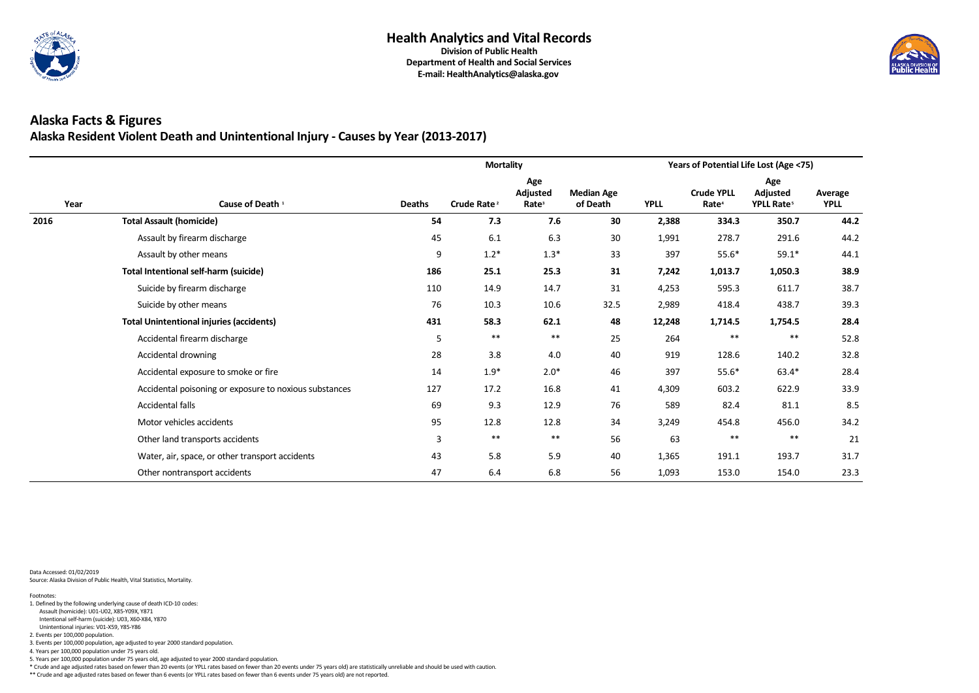

### **Alaska Facts & Figures Alaska Resident Violent Death and Unintentional Injury - Causes by Year (2013-2017)**

|      |                                                        |                | <b>Mortality</b>        |                                             |                               | Years of Potential Life Lost (Age <75)<br>Age<br><b>Crude YPLL</b><br>Adjusted<br><b>YPLL</b><br>YPLL Rate <sup>5</sup><br>Rate <sup>4</sup><br>350.7<br>2,388<br>334.3<br>291.6<br>1,991<br>278.7<br>397<br>$55.6*$<br>$59.1*$<br>7,242<br>1,013.7<br>1,050.3<br>4,253<br>611.7<br>595.3<br>438.7<br>2,989<br>418.4<br>12,248<br>1,714.5<br>1,754.5<br>$***$<br>$***$<br>264<br>919<br>140.2<br>128.6<br>63.4*<br>397<br>$55.6*$<br>4,309<br>603.2<br>622.9<br>82.4<br>589<br>81.1<br>456.0<br>3,249<br>454.8<br>$***$<br>$***$ |       |       |                        |
|------|--------------------------------------------------------|----------------|-------------------------|---------------------------------------------|-------------------------------|----------------------------------------------------------------------------------------------------------------------------------------------------------------------------------------------------------------------------------------------------------------------------------------------------------------------------------------------------------------------------------------------------------------------------------------------------------------------------------------------------------------------------------|-------|-------|------------------------|
| Year | Cause of Death <sup>1</sup>                            | <b>Deaths</b>  | Crude Rate <sup>2</sup> | Age<br><b>Adjusted</b><br>Rate <sup>3</sup> | <b>Median Age</b><br>of Death |                                                                                                                                                                                                                                                                                                                                                                                                                                                                                                                                  |       |       | Average<br><b>YPLL</b> |
| 2016 | <b>Total Assault (homicide)</b>                        | 54             | 7.3                     | 7.6                                         | 30                            |                                                                                                                                                                                                                                                                                                                                                                                                                                                                                                                                  |       |       | 44.2                   |
|      | Assault by firearm discharge                           | 45             | 6.1                     | 6.3                                         | 30                            |                                                                                                                                                                                                                                                                                                                                                                                                                                                                                                                                  |       |       | 44.2                   |
|      | Assault by other means                                 | 9              | $1.2*$                  | $1.3*$                                      | 33                            |                                                                                                                                                                                                                                                                                                                                                                                                                                                                                                                                  |       |       | 44.1                   |
|      | <b>Total Intentional self-harm (suicide)</b>           | 186            | 25.1                    | 25.3                                        | 31                            |                                                                                                                                                                                                                                                                                                                                                                                                                                                                                                                                  |       |       | 38.9                   |
|      | Suicide by firearm discharge                           | 110            | 14.9                    | 14.7                                        | 31                            |                                                                                                                                                                                                                                                                                                                                                                                                                                                                                                                                  |       |       | 38.7                   |
|      | Suicide by other means                                 | 76             | 10.3                    | 10.6                                        | 32.5                          |                                                                                                                                                                                                                                                                                                                                                                                                                                                                                                                                  |       |       | 39.3                   |
|      | <b>Total Unintentional injuries (accidents)</b>        | 431            | 58.3                    | 62.1                                        | 48                            |                                                                                                                                                                                                                                                                                                                                                                                                                                                                                                                                  |       |       | 28.4                   |
|      | Accidental firearm discharge                           | 5              | $***$                   | $***$                                       | 25                            |                                                                                                                                                                                                                                                                                                                                                                                                                                                                                                                                  |       |       | 52.8                   |
|      | Accidental drowning                                    | 28             | 3.8                     | 4.0                                         | 40                            |                                                                                                                                                                                                                                                                                                                                                                                                                                                                                                                                  |       |       | 32.8                   |
|      | Accidental exposure to smoke or fire                   | 14             | $1.9*$                  | $2.0*$                                      | 46                            |                                                                                                                                                                                                                                                                                                                                                                                                                                                                                                                                  |       |       | 28.4                   |
|      | Accidental poisoning or exposure to noxious substances | 127            | 17.2                    | 16.8                                        | 41                            |                                                                                                                                                                                                                                                                                                                                                                                                                                                                                                                                  |       |       | 33.9                   |
|      | Accidental falls                                       | 69             | 9.3                     | 12.9                                        | 76                            |                                                                                                                                                                                                                                                                                                                                                                                                                                                                                                                                  |       |       | 8.5                    |
|      | Motor vehicles accidents                               | 95             | 12.8                    | 12.8                                        | 34                            |                                                                                                                                                                                                                                                                                                                                                                                                                                                                                                                                  |       |       | 34.2                   |
|      | Other land transports accidents                        | $\overline{3}$ | $***$                   | $***$                                       | 56                            | 63                                                                                                                                                                                                                                                                                                                                                                                                                                                                                                                               |       |       | 21                     |
|      | Water, air, space, or other transport accidents        | 43             | 5.8                     | 5.9                                         | 40                            | 1,365                                                                                                                                                                                                                                                                                                                                                                                                                                                                                                                            | 191.1 | 193.7 | 31.7                   |
|      | Other nontransport accidents                           | 47             | 6.4                     | 6.8                                         | 56                            | 1,093                                                                                                                                                                                                                                                                                                                                                                                                                                                                                                                            | 153.0 | 154.0 | 23.3                   |

Data Accessed: 01/02/2019 Source: Alaska Division of Public Health, Vital Statistics, Mortality.

\*\* Crude and age adjusted rates based on fewer than 6 events (or YPLL rates based on fewer than 6 events under 75 years old) are not reported.



5. Years per 100,000 population under 75 years old, age adjusted to year 2000 standard population.

\* Crude and age adjusted rates based on fewer than 20 events (or YPLL rates based on fewer than 20 events under 75 years old) are statistically unreliable and should be used with caution.

3. Events per 100,000 population, age adjusted to year 2000 standard population.

4. Years per 100,000 population under 75 years old.

Unintentional injuries: V01-X59, Y85-Y86

2. Events per 100,000 population.

Intentional self-harm (suicide): U03, X60-X84, Y870

 Assault (homicide): U01-U02, X85-Y09X, Y871 1. Defined by the following underlying cause of death ICD-10 codes: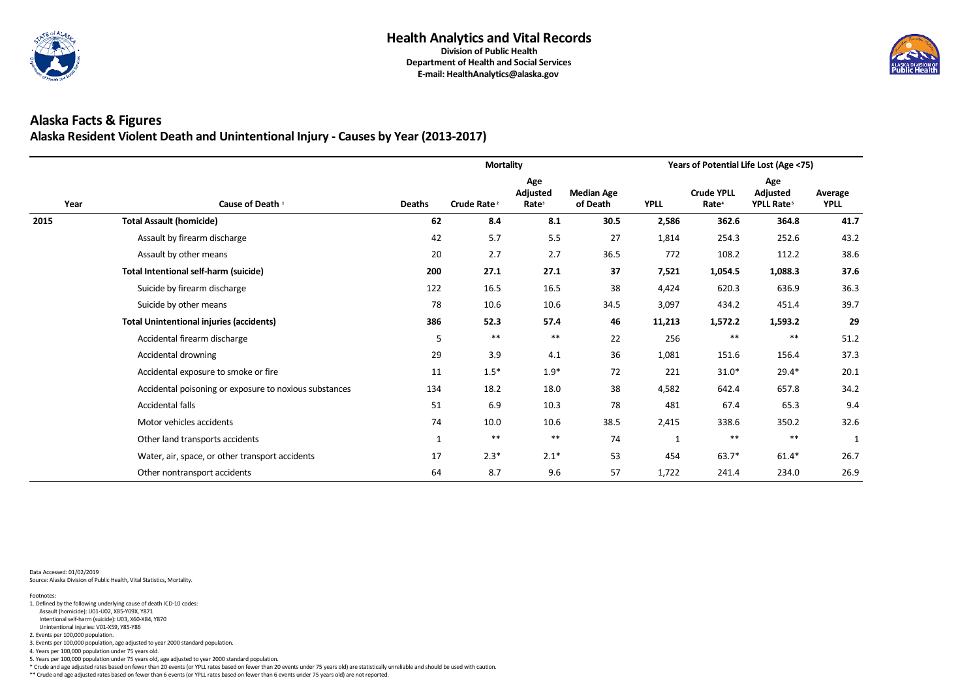

### **Alaska Facts & Figures Alaska Resident Violent Death and Unintentional Injury - Causes by Year (2013-2017)**

|      |                                                        |               | <b>Mortality</b>        |                                      |                               | Years of Potential Life Lost (Age <75)<br>Age<br><b>Crude YPLL</b><br>Adjusted<br><b>YPLL</b><br>Rate <sup>4</sup><br>YPLL Rate <sup>5</sup><br>362.6<br>364.8<br>2,586<br>254.3<br>252.6<br>1,814<br>772<br>108.2<br>112.2<br>1,054.5<br>1,088.3<br>7,521<br>636.9<br>4,424<br>620.3<br>3,097<br>451.4<br>434.2<br>11,213<br>1,572.2<br>1,593.2<br>$***$<br>$***$<br>256<br>156.4<br>1,081<br>151.6<br>221<br>$29.4*$<br>$31.0*$<br>657.8<br>4,582<br>642.4<br>481<br>67.4<br>65.3<br>2,415<br>338.6<br>350.2<br>$***$<br>**<br>1 |         |         |                        |
|------|--------------------------------------------------------|---------------|-------------------------|--------------------------------------|-------------------------------|------------------------------------------------------------------------------------------------------------------------------------------------------------------------------------------------------------------------------------------------------------------------------------------------------------------------------------------------------------------------------------------------------------------------------------------------------------------------------------------------------------------------------------|---------|---------|------------------------|
| Year | Cause of Death <sup>1</sup>                            | <b>Deaths</b> | Crude Rate <sup>2</sup> | Age<br>Adjusted<br>Rate <sup>3</sup> | <b>Median Age</b><br>of Death |                                                                                                                                                                                                                                                                                                                                                                                                                                                                                                                                    |         |         | Average<br><b>YPLL</b> |
| 2015 | <b>Total Assault (homicide)</b>                        | 62            | 8.4                     | 8.1                                  | 30.5                          |                                                                                                                                                                                                                                                                                                                                                                                                                                                                                                                                    |         |         | 41.7                   |
|      | Assault by firearm discharge                           | 42            | 5.7                     | 5.5                                  | 27                            |                                                                                                                                                                                                                                                                                                                                                                                                                                                                                                                                    |         |         | 43.2                   |
|      | Assault by other means                                 | 20            | 2.7                     | 2.7                                  | 36.5                          |                                                                                                                                                                                                                                                                                                                                                                                                                                                                                                                                    |         |         | 38.6                   |
|      | <b>Total Intentional self-harm (suicide)</b>           | 200           | 27.1                    | 27.1                                 | 37                            |                                                                                                                                                                                                                                                                                                                                                                                                                                                                                                                                    |         |         | 37.6                   |
|      | Suicide by firearm discharge                           | 122           | 16.5                    | 16.5                                 | 38                            |                                                                                                                                                                                                                                                                                                                                                                                                                                                                                                                                    |         |         | 36.3                   |
|      | Suicide by other means                                 | 78            | 10.6                    | 10.6                                 | 34.5                          |                                                                                                                                                                                                                                                                                                                                                                                                                                                                                                                                    |         |         | 39.7                   |
|      | <b>Total Unintentional injuries (accidents)</b>        | 386           | 52.3                    | 57.4                                 | 46                            |                                                                                                                                                                                                                                                                                                                                                                                                                                                                                                                                    |         |         | 29                     |
|      | Accidental firearm discharge                           | 5             | $***$                   | $***$                                | 22                            |                                                                                                                                                                                                                                                                                                                                                                                                                                                                                                                                    |         |         | 51.2                   |
|      | Accidental drowning                                    | 29            | 3.9                     | 4.1                                  | 36                            |                                                                                                                                                                                                                                                                                                                                                                                                                                                                                                                                    |         |         | 37.3                   |
|      | Accidental exposure to smoke or fire                   | 11            | $1.5*$                  | $1.9*$                               | 72                            |                                                                                                                                                                                                                                                                                                                                                                                                                                                                                                                                    |         |         | 20.1                   |
|      | Accidental poisoning or exposure to noxious substances | 134           | 18.2                    | 18.0                                 | 38                            |                                                                                                                                                                                                                                                                                                                                                                                                                                                                                                                                    |         |         | 34.2                   |
|      | Accidental falls                                       | 51            | 6.9                     | 10.3                                 | 78                            |                                                                                                                                                                                                                                                                                                                                                                                                                                                                                                                                    |         |         | 9.4                    |
|      | Motor vehicles accidents                               | 74            | 10.0                    | 10.6                                 | 38.5                          |                                                                                                                                                                                                                                                                                                                                                                                                                                                                                                                                    |         |         | 32.6                   |
|      | Other land transports accidents                        | $\mathbf{1}$  | $***$                   | $***$                                | 74                            |                                                                                                                                                                                                                                                                                                                                                                                                                                                                                                                                    |         |         | $\mathbf{1}$           |
|      | Water, air, space, or other transport accidents        | 17            | $2.3*$                  | $2.1*$                               | 53                            | 454                                                                                                                                                                                                                                                                                                                                                                                                                                                                                                                                | $63.7*$ | $61.4*$ | 26.7                   |
|      | Other nontransport accidents                           | 64            | 8.7                     | 9.6                                  | 57                            | 1,722                                                                                                                                                                                                                                                                                                                                                                                                                                                                                                                              | 241.4   | 234.0   | 26.9                   |

Data Accessed: 01/02/2019 Source: Alaska Division of Public Health, Vital Statistics, Mortality.

\*\* Crude and age adjusted rates based on fewer than 6 events (or YPLL rates based on fewer than 6 events under 75 years old) are not reported.



- 5. Years per 100,000 population under 75 years old, age adjusted to year 2000 standard population.
- \* Crude and age adjusted rates based on fewer than 20 events (or YPLL rates based on fewer than 20 events under 75 years old) are statistically unreliable and should be used with caution.

4. Years per 100,000 population under 75 years old.

- Assault (homicide): U01-U02, X85-Y09X, Y871 1. Defined by the following underlying cause of death ICD-10 codes:
- Intentional self-harm (suicide): U03, X60-X84, Y870
- Unintentional injuries: V01-X59, Y85-Y86
- 2. Events per 100,000 population.
- 3. Events per 100,000 population, age adjusted to year 2000 standard population.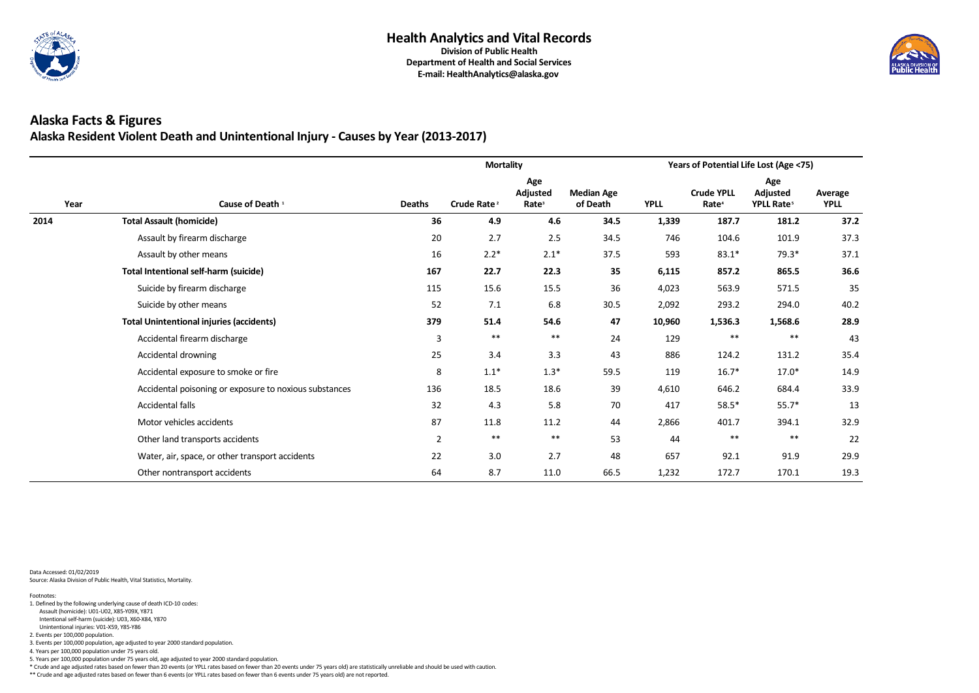

### **Alaska Facts & Figures Alaska Resident Violent Death and Unintentional Injury - Causes by Year (2013-2017)**

|      |                                                        |                | <b>Mortality</b>        |                                             |                               | Years of Potential Life Lost (Age <75)<br>Age<br><b>Crude YPLL</b><br>Adjusted<br><b>YPLL</b><br>YPLL Rate <sup>5</sup><br>Rate <sup>4</sup><br>187.7<br>181.2<br>1,339<br>101.9<br>746<br>104.6<br>$79.3*$<br>593<br>$83.1*$<br>35<br>865.5<br>6,115<br>857.2<br>36<br>571.5<br>4,023<br>563.9<br>2,092<br>293.2<br>294.0<br>47<br>10,960<br>1,536.3<br>1,568.6<br>$***$<br>$***$<br>24<br>129<br>43<br>886<br>131.2<br>124.2<br>$17.0*$<br>119<br>$16.7*$<br>39<br>684.4<br>4,610<br>646.2<br>70<br>417<br>$55.7*$<br>$58.5*$<br>44<br>394.1<br>2,866<br>401.7 |       |       |                        |
|------|--------------------------------------------------------|----------------|-------------------------|---------------------------------------------|-------------------------------|------------------------------------------------------------------------------------------------------------------------------------------------------------------------------------------------------------------------------------------------------------------------------------------------------------------------------------------------------------------------------------------------------------------------------------------------------------------------------------------------------------------------------------------------------------------|-------|-------|------------------------|
| Year | Cause of Death <sup>1</sup>                            | <b>Deaths</b>  | Crude Rate <sup>2</sup> | Age<br><b>Adjusted</b><br>Rate <sup>3</sup> | <b>Median Age</b><br>of Death |                                                                                                                                                                                                                                                                                                                                                                                                                                                                                                                                                                  |       |       | Average<br><b>YPLL</b> |
| 2014 | <b>Total Assault (homicide)</b>                        | 36             | 4.9                     | 4.6                                         | 34.5                          |                                                                                                                                                                                                                                                                                                                                                                                                                                                                                                                                                                  |       |       | 37.2                   |
|      | Assault by firearm discharge                           | 20             | 2.7                     | 2.5                                         | 34.5                          |                                                                                                                                                                                                                                                                                                                                                                                                                                                                                                                                                                  |       |       | 37.3                   |
|      | Assault by other means                                 | 16             | $2.2*$                  | $2.1*$                                      | 37.5                          |                                                                                                                                                                                                                                                                                                                                                                                                                                                                                                                                                                  |       |       | 37.1                   |
|      | <b>Total Intentional self-harm (suicide)</b>           | 167            | 22.7                    | 22.3                                        |                               |                                                                                                                                                                                                                                                                                                                                                                                                                                                                                                                                                                  |       |       | 36.6                   |
|      | Suicide by firearm discharge                           | 115            | 15.6                    | 15.5                                        |                               |                                                                                                                                                                                                                                                                                                                                                                                                                                                                                                                                                                  |       |       | 35                     |
|      | Suicide by other means                                 | 52             | 7.1                     | 6.8                                         | 30.5                          |                                                                                                                                                                                                                                                                                                                                                                                                                                                                                                                                                                  |       |       | 40.2                   |
|      | <b>Total Unintentional injuries (accidents)</b>        | 379            | 51.4                    | 54.6                                        |                               |                                                                                                                                                                                                                                                                                                                                                                                                                                                                                                                                                                  |       |       | 28.9                   |
|      | Accidental firearm discharge                           | $\mathbf{3}$   | $***$                   | $***$                                       |                               |                                                                                                                                                                                                                                                                                                                                                                                                                                                                                                                                                                  |       |       | 43                     |
|      | Accidental drowning                                    | 25             | 3.4                     | 3.3                                         |                               |                                                                                                                                                                                                                                                                                                                                                                                                                                                                                                                                                                  |       |       | 35.4                   |
|      | Accidental exposure to smoke or fire                   | 8              | $1.1*$                  | $1.3*$                                      | 59.5                          |                                                                                                                                                                                                                                                                                                                                                                                                                                                                                                                                                                  |       |       | 14.9                   |
|      | Accidental poisoning or exposure to noxious substances | 136            | 18.5                    | 18.6                                        |                               |                                                                                                                                                                                                                                                                                                                                                                                                                                                                                                                                                                  |       |       | 33.9                   |
|      | Accidental falls                                       | 32             | 4.3                     | 5.8                                         |                               |                                                                                                                                                                                                                                                                                                                                                                                                                                                                                                                                                                  |       |       | 13                     |
|      | Motor vehicles accidents                               | 87             | 11.8                    | 11.2                                        |                               |                                                                                                                                                                                                                                                                                                                                                                                                                                                                                                                                                                  |       |       | 32.9                   |
|      | Other land transports accidents                        | $\overline{2}$ | $***$                   | $***$                                       | 53                            | 44                                                                                                                                                                                                                                                                                                                                                                                                                                                                                                                                                               | $***$ | $***$ | 22                     |
|      | Water, air, space, or other transport accidents        | 22             | 3.0                     | 2.7                                         | 48                            | 657                                                                                                                                                                                                                                                                                                                                                                                                                                                                                                                                                              | 92.1  | 91.9  | 29.9                   |
|      | Other nontransport accidents                           | 64             | 8.7                     | 11.0                                        | 66.5                          | 1,232                                                                                                                                                                                                                                                                                                                                                                                                                                                                                                                                                            | 172.7 | 170.1 | 19.3                   |

Data Accessed: 01/02/2019 Source: Alaska Division of Public Health, Vital Statistics, Mortality.

\*\* Crude and age adjusted rates based on fewer than 6 events (or YPLL rates based on fewer than 6 events under 75 years old) are not reported.



5. Years per 100,000 population under 75 years old, age adjusted to year 2000 standard population.

\* Crude and age adjusted rates based on fewer than 20 events (or YPLL rates based on fewer than 20 events under 75 years old) are statistically unreliable and should be used with caution.

3. Events per 100,000 population, age adjusted to year 2000 standard population.

4. Years per 100,000 population under 75 years old.

Unintentional injuries: V01-X59, Y85-Y86

2. Events per 100,000 population.

Intentional self-harm (suicide): U03, X60-X84, Y870

 Assault (homicide): U01-U02, X85-Y09X, Y871 1. Defined by the following underlying cause of death ICD-10 codes: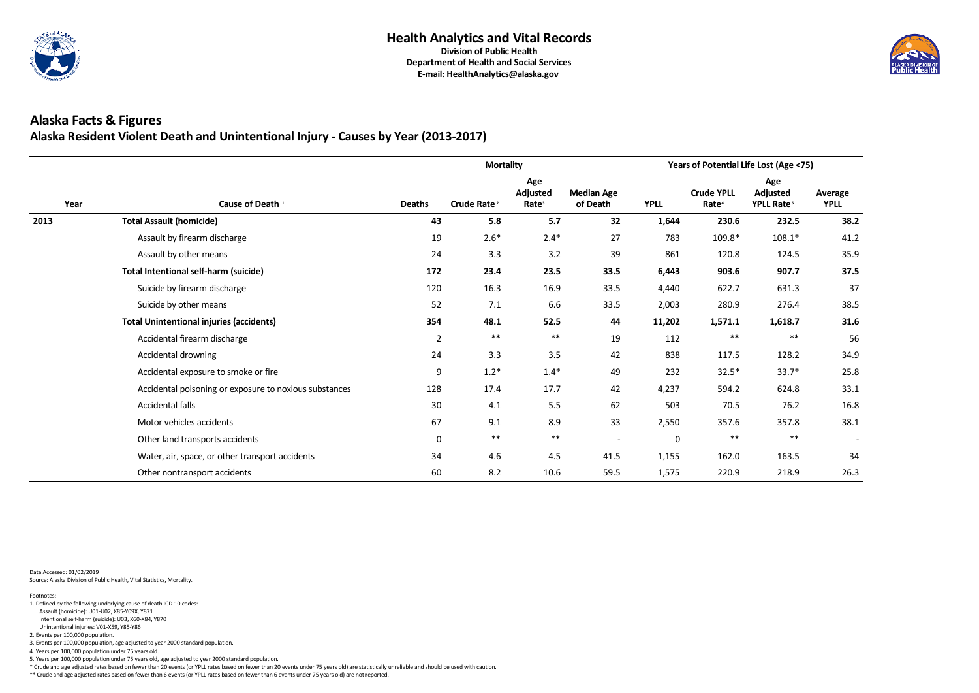

### **Alaska Facts & Figures Alaska Resident Violent Death and Unintentional Injury - Causes by Year (2013-2017)**

|      |                                                        |                | <b>Mortality</b>        |                                             |                               |       | Years of Potential Life Lost (Age <75)<br>Age<br><b>Crude YPLL</b><br>Adjusted<br><b>YPLL</b><br>YPLL Rate <sup>5</sup><br>Rate <sup>4</sup><br>232.5<br>1,644<br>230.6<br>783<br>$108.1*$<br>109.8*<br>861<br>120.8<br>124.5<br>6,443<br>903.6<br>907.7<br>631.3<br>4,440<br>622.7<br>2,003<br>280.9<br>276.4<br>11,202<br>1,571.1<br>1,618.7<br>$***$<br>$***$<br>112<br>838<br>128.2<br>117.5<br>232<br>$33.7*$<br>$32.5*$<br>4,237<br>624.8<br>594.2<br>503<br>70.5<br>76.2<br>357.8<br>2,550<br>357.6<br>$***$<br>$***$<br>0 |       |                        |
|------|--------------------------------------------------------|----------------|-------------------------|---------------------------------------------|-------------------------------|-------|-----------------------------------------------------------------------------------------------------------------------------------------------------------------------------------------------------------------------------------------------------------------------------------------------------------------------------------------------------------------------------------------------------------------------------------------------------------------------------------------------------------------------------------|-------|------------------------|
| Year | Cause of Death <sup>1</sup>                            | <b>Deaths</b>  | Crude Rate <sup>2</sup> | Age<br><b>Adjusted</b><br>Rate <sup>3</sup> | <b>Median Age</b><br>of Death |       |                                                                                                                                                                                                                                                                                                                                                                                                                                                                                                                                   |       | Average<br><b>YPLL</b> |
| 2013 | <b>Total Assault (homicide)</b>                        | 43             | 5.8                     | 5.7                                         | 32                            |       |                                                                                                                                                                                                                                                                                                                                                                                                                                                                                                                                   |       | 38.2                   |
|      | Assault by firearm discharge                           | 19             | $2.6*$                  | $2.4*$                                      | 27                            |       |                                                                                                                                                                                                                                                                                                                                                                                                                                                                                                                                   |       | 41.2                   |
|      | Assault by other means                                 | 24             | 3.3                     | 3.2                                         | 39                            |       |                                                                                                                                                                                                                                                                                                                                                                                                                                                                                                                                   |       | 35.9                   |
|      | <b>Total Intentional self-harm (suicide)</b>           | 172            | 23.4                    | 23.5                                        | 33.5                          |       |                                                                                                                                                                                                                                                                                                                                                                                                                                                                                                                                   |       | 37.5                   |
|      | Suicide by firearm discharge                           | 120            | 16.3                    | 16.9                                        | 33.5                          |       |                                                                                                                                                                                                                                                                                                                                                                                                                                                                                                                                   |       | 37                     |
|      | Suicide by other means                                 | 52             | 7.1                     | 6.6                                         | 33.5                          |       |                                                                                                                                                                                                                                                                                                                                                                                                                                                                                                                                   |       | 38.5                   |
|      | <b>Total Unintentional injuries (accidents)</b>        | 354            | 48.1                    | 52.5                                        | 44                            |       |                                                                                                                                                                                                                                                                                                                                                                                                                                                                                                                                   |       | 31.6                   |
|      | Accidental firearm discharge                           | $\overline{2}$ | $***$                   | $***$                                       | 19                            |       |                                                                                                                                                                                                                                                                                                                                                                                                                                                                                                                                   |       | 56                     |
|      | Accidental drowning                                    | 24             | 3.3                     | 3.5                                         | 42                            |       |                                                                                                                                                                                                                                                                                                                                                                                                                                                                                                                                   |       | 34.9                   |
|      | Accidental exposure to smoke or fire                   | 9              | $1.2*$                  | $1.4*$                                      | 49                            |       |                                                                                                                                                                                                                                                                                                                                                                                                                                                                                                                                   |       | 25.8                   |
|      | Accidental poisoning or exposure to noxious substances | 128            | 17.4                    | 17.7                                        | 42                            |       |                                                                                                                                                                                                                                                                                                                                                                                                                                                                                                                                   |       | 33.1                   |
|      | Accidental falls                                       | 30             | 4.1                     | 5.5                                         | 62                            |       |                                                                                                                                                                                                                                                                                                                                                                                                                                                                                                                                   |       | 16.8                   |
|      | Motor vehicles accidents                               | 67             | 9.1                     | 8.9                                         | 33                            |       |                                                                                                                                                                                                                                                                                                                                                                                                                                                                                                                                   |       | 38.1                   |
|      | Other land transports accidents                        | $\mathbf 0$    | $***$                   | $***$                                       |                               |       |                                                                                                                                                                                                                                                                                                                                                                                                                                                                                                                                   |       |                        |
|      | Water, air, space, or other transport accidents        | 34             | 4.6                     | 4.5                                         | 41.5                          | 1,155 | 162.0                                                                                                                                                                                                                                                                                                                                                                                                                                                                                                                             | 163.5 | 34                     |
|      | Other nontransport accidents                           | 60             | 8.2                     | 10.6                                        | 59.5                          | 1,575 | 220.9                                                                                                                                                                                                                                                                                                                                                                                                                                                                                                                             | 218.9 | 26.3                   |

Data Accessed: 01/02/2019 Source: Alaska Division of Public Health, Vital Statistics, Mortality.

\*\* Crude and age adjusted rates based on fewer than 6 events (or YPLL rates based on fewer than 6 events under 75 years old) are not reported.



5. Years per 100,000 population under 75 years old, age adjusted to year 2000 standard population.

\* Crude and age adjusted rates based on fewer than 20 events (or YPLL rates based on fewer than 20 events under 75 years old) are statistically unreliable and should be used with caution.

3. Events per 100,000 population, age adjusted to year 2000 standard population.

4. Years per 100,000 population under 75 years old.

Unintentional injuries: V01-X59, Y85-Y86

2. Events per 100,000 population.

Intentional self-harm (suicide): U03, X60-X84, Y870

 Assault (homicide): U01-U02, X85-Y09X, Y871 1. Defined by the following underlying cause of death ICD-10 codes: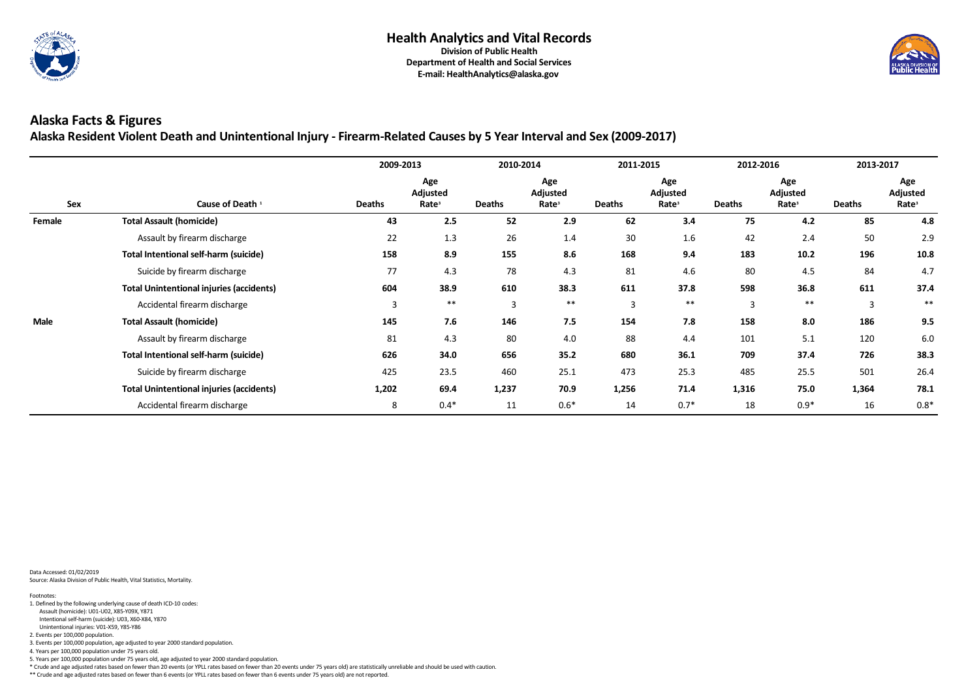

**Alaska Resident Violent Death and Unintentional Injury - Firearm-Related Causes by 5 Year Interval and Sex (2009-2017)**

|               |                                                 | 2009-2013      |                                      | 2010-2014      |                                      | 2011-2015      |                                             | 2012-2016      |                                      | 2013-2017      |                                      |
|---------------|-------------------------------------------------|----------------|--------------------------------------|----------------|--------------------------------------|----------------|---------------------------------------------|----------------|--------------------------------------|----------------|--------------------------------------|
| Sex           | Cause of Death <sup>1</sup>                     | <b>Deaths</b>  | Age<br>Adjusted<br>Rate <sup>3</sup> | <b>Deaths</b>  | Age<br>Adjusted<br>Rate <sup>3</sup> | <b>Deaths</b>  | Age<br><b>Adjusted</b><br>Rate <sup>3</sup> | <b>Deaths</b>  | Age<br>Adjusted<br>Rate <sup>3</sup> | <b>Deaths</b>  | Age<br>Adjusted<br>Rate <sup>3</sup> |
| <b>Female</b> | <b>Total Assault (homicide)</b>                 | 43             | 2.5                                  | 52             | 2.9                                  | 62             | 3.4                                         | 75             | 4.2                                  | 85             | 4.8                                  |
|               | Assault by firearm discharge                    | 22             | 1.3                                  | 26             | 1.4                                  | 30             | 1.6                                         | 42             | 2.4                                  | 50             | 2.9                                  |
|               | Total Intentional self-harm (suicide)           | 158            | 8.9                                  | 155            | 8.6                                  | 168            | 9.4                                         | 183            | 10.2                                 | 196            | 10.8                                 |
|               | Suicide by firearm discharge                    | 77             | 4.3                                  | 78             | 4.3                                  | 81             | 4.6                                         | 80             | 4.5                                  | 84             | 4.7                                  |
|               | <b>Total Unintentional injuries (accidents)</b> | 604            | 38.9                                 | 610            | 38.3                                 | 611            | 37.8                                        | 598            | 36.8                                 | 611            | 37.4                                 |
|               | Accidental firearm discharge                    | $\overline{3}$ | $***$                                | $\overline{3}$ | $***$                                | $\overline{3}$ | $***$                                       | $\overline{3}$ | $***$                                | $\overline{3}$ | $***$                                |
| <b>Male</b>   | <b>Total Assault (homicide)</b>                 | 145            | 7.6                                  | 146            | 7.5                                  | 154            | 7.8                                         | 158            | 8.0                                  | 186            | 9.5                                  |
|               | Assault by firearm discharge                    | 81             | 4.3                                  | 80             | 4.0                                  | 88             | 4.4                                         | 101            | 5.1                                  | 120            | 6.0                                  |
|               | <b>Total Intentional self-harm (suicide)</b>    | 626            | 34.0                                 | 656            | 35.2                                 | 680            | 36.1                                        | 709            | 37.4                                 | 726            | 38.3                                 |
|               | Suicide by firearm discharge                    | 425            | 23.5                                 | 460            | 25.1                                 | 473            | 25.3                                        | 485            | 25.5                                 | 501            | 26.4                                 |
|               | <b>Total Unintentional injuries (accidents)</b> | 1,202          | 69.4                                 | 1,237          | 70.9                                 | 1,256          | 71.4                                        | 1,316          | 75.0                                 | 1,364          | 78.1                                 |
|               | Accidental firearm discharge                    | 8              | $0.4*$                               | 11             | $0.6*$                               | 14             | $0.7*$                                      | 18             | $0.9*$                               | 16             | $0.8*$                               |

Data Accessed: 01/02/2019 Source: Alaska Division of Public Health, Vital Statistics, Mortality.

\*\* Crude and age adjusted rates based on fewer than 6 events (or YPLL rates based on fewer than 6 events under 75 years old) are not reported.



- 5. Years per 100,000 population under 75 years old, age adjusted to year 2000 standard population.
- \* Crude and age adjusted rates based on fewer than 20 events (or YPLL rates based on fewer than 20 events under 75 years old) are statistically unreliable and should be used with caution.

4. Years per 100,000 population under 75 years old.

- Assault (homicide): U01-U02, X85-Y09X, Y871 1. Defined by the following underlying cause of death ICD-10 codes:
- Intentional self-harm (suicide): U03, X60-X84, Y870
- Unintentional injuries: V01-X59, Y85-Y86

2. Events per 100,000 population.

<sup>3.</sup> Events per 100,000 population, age adjusted to year 2000 standard population.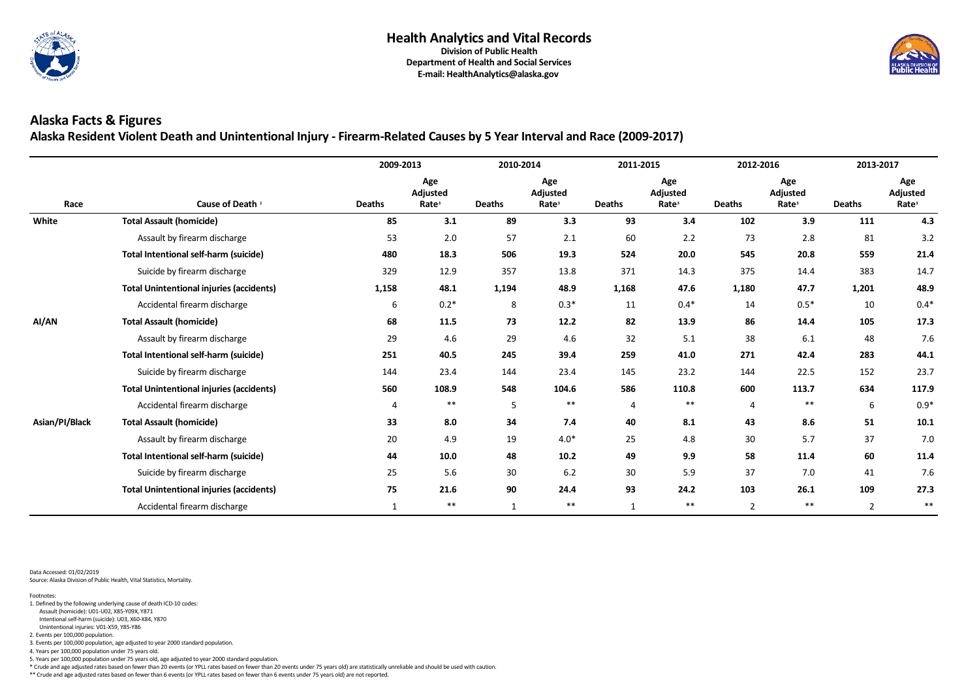

**Alaska Resident Violent Death and Unintentional Injury - Firearm-Related Causes by 5 Year Interval and Race (2009-2017)**

|                |                                                 | 2009-2013     |                                             | 2010-2014     |                                             | 2011-2015     |                                      | 2012-2016      |                                             | 2013-2017      |                                      |
|----------------|-------------------------------------------------|---------------|---------------------------------------------|---------------|---------------------------------------------|---------------|--------------------------------------|----------------|---------------------------------------------|----------------|--------------------------------------|
| Race           | Cause of Death <sup>1</sup>                     | <b>Deaths</b> | Age<br><b>Adjusted</b><br>Rate <sup>3</sup> | <b>Deaths</b> | Age<br><b>Adjusted</b><br>Rate <sup>3</sup> | <b>Deaths</b> | Age<br>Adjusted<br>Rate <sup>3</sup> | <b>Deaths</b>  | Age<br><b>Adjusted</b><br>Rate <sup>3</sup> | <b>Deaths</b>  | Age<br>Adjusted<br>Rate <sup>3</sup> |
| White          | <b>Total Assault (homicide)</b>                 | 85            | 3.1                                         | 89            | 3.3                                         | 93            | 3.4                                  | 102            | 3.9                                         | 111            | 4.3                                  |
|                | Assault by firearm discharge                    | 53            | 2.0                                         | 57            | 2.1                                         | 60            | 2.2                                  | 73             | 2.8                                         | 81             | 3.2                                  |
|                | <b>Total Intentional self-harm (suicide)</b>    | 480           | 18.3                                        | 506           | 19.3                                        | 524           | 20.0                                 | 545            | 20.8                                        | 559            | 21.4                                 |
|                | Suicide by firearm discharge                    | 329           | 12.9                                        | 357           | 13.8                                        | 371           | 14.3                                 | 375            | 14.4                                        | 383            | 14.7                                 |
|                | <b>Total Unintentional injuries (accidents)</b> | 1,158         | 48.1                                        | 1,194         | 48.9                                        | 1,168         | 47.6                                 | 1,180          | 47.7                                        | 1,201          | 48.9                                 |
|                | Accidental firearm discharge                    | 6             | $0.2*$                                      | 8             | $0.3*$                                      | 11            | $0.4*$                               | 14             | $0.5*$                                      | 10             | $0.4*$                               |
| AI/AN          | <b>Total Assault (homicide)</b>                 | 68            | 11.5                                        | 73            | 12.2                                        | 82            | 13.9                                 | 86             | 14.4                                        | 105            | 17.3                                 |
|                | Assault by firearm discharge                    | 29            | 4.6                                         | 29            | 4.6                                         | 32            | 5.1                                  | 38             | 6.1                                         | 48             | 7.6                                  |
|                | <b>Total Intentional self-harm (suicide)</b>    | 251           | 40.5                                        | 245           | 39.4                                        | 259           | 41.0                                 | 271            | 42.4                                        | 283            | 44.1                                 |
|                | Suicide by firearm discharge                    | 144           | 23.4                                        | 144           | 23.4                                        | 145           | 23.2                                 | 144            | 22.5                                        | 152            | 23.7                                 |
|                | <b>Total Unintentional injuries (accidents)</b> | 560           | 108.9                                       | 548           | 104.6                                       | 586           | 110.8                                | 600            | 113.7                                       | 634            | 117.9                                |
|                | Accidental firearm discharge                    | 4             | $***$                                       | 5             | $***$                                       | 4             | $***$                                | 4              | $***$                                       | 6              | $0.9*$                               |
| Asian/PI/Black | <b>Total Assault (homicide)</b>                 | 33            | 8.0                                         | 34            | 7.4                                         | 40            | 8.1                                  | 43             | 8.6                                         | 51             | 10.1                                 |
|                | Assault by firearm discharge                    | 20            | 4.9                                         | 19            | $4.0*$                                      | 25            | 4.8                                  | 30             | 5.7                                         | 37             | 7.0                                  |
|                | <b>Total Intentional self-harm (suicide)</b>    | 44            | 10.0                                        | 48            | $10.2$                                      | 49            | 9.9                                  | 58             | 11.4                                        | 60             | 11.4                                 |
|                | Suicide by firearm discharge                    | 25            | 5.6                                         | 30            | 6.2                                         | 30            | 5.9                                  | 37             | 7.0                                         | 41             | 7.6                                  |
|                | <b>Total Unintentional injuries (accidents)</b> | 75            | 21.6                                        | 90            | 24.4                                        | 93            | 24.2                                 | 103            | 26.1                                        | 109            | 27.3                                 |
|                | Accidental firearm discharge                    | $\mathbf{1}$  | $***$                                       |               | $***$                                       | $\mathbf{1}$  | $***$                                | $\overline{2}$ | $***$                                       | $\overline{2}$ | $***$                                |

Data Accessed: 01/02/2019

Source: Alaska Division of Public Health, Vital Statistics, Mortality.

\*\* Crude and age adjusted rates based on fewer than 6 events (or YPLL rates based on fewer than 6 events under 75 years old) are not reported.



- Assault (homicide): U01-U02, X85-Y09X, Y871 1. Defined by the following underlying cause of death ICD-10 codes:
- Intentional self-harm (suicide): U03, X60-X84, Y870
- Unintentional injuries: V01-X59, Y85-Y86
- 2. Events per 100,000 population.
- 3. Events per 100,000 population, age adjusted to year 2000 standard population.
- 4. Years per 100,000 population under 75 years old.
- 5. Years per 100,000 population under 75 years old, age adjusted to year 2000 standard population.
- \* Crude and age adjusted rates based on fewer than 20 events (or YPLL rates based on fewer than 20 events under 75 years old) are statistically unreliable and should be used with caution.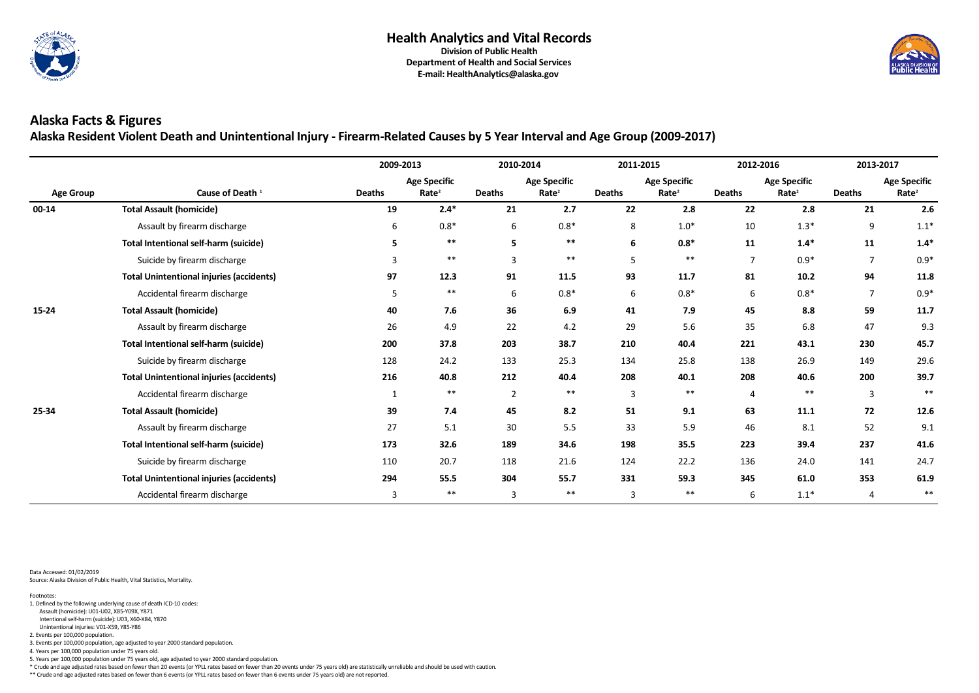

#### **E-mail: HealthAnalytics@alaska.gov**

# **Alaska Facts & Figures**

**Alaska Resident Violent Death and Unintentional Injury - Firearm-Related Causes by 5 Year Interval and Age Group (2009-2017)**

|                  |                                                 | 2009-2013     |                                          | 2010-2014      |                                          | 2011-2015      |                                          | 2012-2016      |                                          | 2013-2017        |                                          |
|------------------|-------------------------------------------------|---------------|------------------------------------------|----------------|------------------------------------------|----------------|------------------------------------------|----------------|------------------------------------------|------------------|------------------------------------------|
| <b>Age Group</b> | Cause of Death <sup>1</sup>                     | <b>Deaths</b> | <b>Age Specific</b><br>Rate <sup>2</sup> | <b>Deaths</b>  | <b>Age Specific</b><br>Rate <sup>2</sup> | <b>Deaths</b>  | <b>Age Specific</b><br>Rate <sup>2</sup> | <b>Deaths</b>  | <b>Age Specific</b><br>Rate <sup>2</sup> | <b>Deaths</b>    | <b>Age Specific</b><br>Rate <sup>2</sup> |
| 00-14            | <b>Total Assault (homicide)</b>                 | 19            | $2.4*$                                   | 21             | 2.7                                      | 22             | 2.8                                      | 22             | 2.8                                      | 21               | 2.6                                      |
|                  | Assault by firearm discharge                    | 6             | $0.8*$                                   | 6              | $0.8*$                                   | 8              | $1.0*$                                   | 10             | $1.3*$                                   | $\boldsymbol{9}$ | $1.1*$                                   |
|                  | <b>Total Intentional self-harm (suicide)</b>    | 5.            | $***$                                    | 5              | **                                       | 6              | $0.8*$                                   | 11             | $1.4*$                                   | 11               | $1.4*$                                   |
|                  | Suicide by firearm discharge                    | 3             | $***$                                    | $\overline{3}$ | $***$                                    | 5              | $***$                                    | $\overline{7}$ | $0.9*$                                   | $\overline{7}$   | $0.9*$                                   |
|                  | <b>Total Unintentional injuries (accidents)</b> | 97            | 12.3                                     | 91             | 11.5                                     | 93             | 11.7                                     | 81             | 10.2                                     | 94               | 11.8                                     |
|                  | Accidental firearm discharge                    | 5             | $***$                                    | 6              | $0.8*$                                   | 6              | $0.8*$                                   | 6              | $0.8*$                                   | 7                | $0.9*$                                   |
| 15-24            | <b>Total Assault (homicide)</b>                 | 40            | 7.6                                      | 36             | 6.9                                      | 41             | 7.9                                      | 45             | 8.8                                      | 59               | 11.7                                     |
|                  | Assault by firearm discharge                    | 26            | 4.9                                      | 22             | 4.2                                      | 29             | 5.6                                      | 35             | 6.8                                      | 47               | 9.3                                      |
|                  | <b>Total Intentional self-harm (suicide)</b>    | 200           | 37.8                                     | 203            | 38.7                                     | 210            | 40.4                                     | 221            | 43.1                                     | 230              | 45.7                                     |
|                  | Suicide by firearm discharge                    | 128           | 24.2                                     | 133            | 25.3                                     | 134            | 25.8                                     | 138            | 26.9                                     | 149              | 29.6                                     |
|                  | <b>Total Unintentional injuries (accidents)</b> | 216           | 40.8                                     | 212            | 40.4                                     | 208            | 40.1                                     | 208            | 40.6                                     | 200              | 39.7                                     |
|                  | Accidental firearm discharge                    | 1             | $***$                                    | $\overline{2}$ | $***$                                    | $\overline{3}$ | $***$                                    | $\overline{4}$ | $***$                                    | $\overline{3}$   | $***$                                    |
| 25-34            | <b>Total Assault (homicide)</b>                 | 39            | 7.4                                      | 45             | 8.2                                      | 51             | 9.1                                      | 63             | 11.1                                     | 72               | 12.6                                     |
|                  | Assault by firearm discharge                    | 27            | 5.1                                      | 30             | 5.5                                      | 33             | 5.9                                      | 46             | 8.1                                      | 52               | 9.1                                      |
|                  | <b>Total Intentional self-harm (suicide)</b>    | 173           | 32.6                                     | 189            | 34.6                                     | 198            | 35.5                                     | 223            | 39.4                                     | 237              | 41.6                                     |
|                  | Suicide by firearm discharge                    | 110           | 20.7                                     | 118            | 21.6                                     | 124            | 22.2                                     | 136            | 24.0                                     | 141              | 24.7                                     |
|                  | <b>Total Unintentional injuries (accidents)</b> | 294           | 55.5                                     | 304            | 55.7                                     | 331            | 59.3                                     | 345            | 61.0                                     | 353              | 61.9                                     |
|                  | Accidental firearm discharge                    | 3             | $***$                                    | $\overline{3}$ | $***$                                    | $\overline{3}$ | $***$                                    | 6              | $1.1*$                                   | $\overline{4}$   | $***$                                    |

Data Accessed: 01/02/2019 Source: Alaska Division of Public Health, Vital Statistics, Mortality.

\*\* Crude and age adjusted rates based on fewer than 6 events (or YPLL rates based on fewer than 6 events under 75 years old) are not reported.



5. Years per 100,000 population under 75 years old, age adjusted to year 2000 standard population.

\* Crude and age adjusted rates based on fewer than 20 events (or YPLL rates based on fewer than 20 events under 75 years old) are statistically unreliable and should be used with caution.

3. Events per 100,000 population, age adjusted to year 2000 standard population.

4. Years per 100,000 population under 75 years old.

Unintentional injuries: V01-X59, Y85-Y86

2. Events per 100,000 population.

Intentional self-harm (suicide): U03, X60-X84, Y870

 Assault (homicide): U01-U02, X85-Y09X, Y871 1. Defined by the following underlying cause of death ICD-10 codes: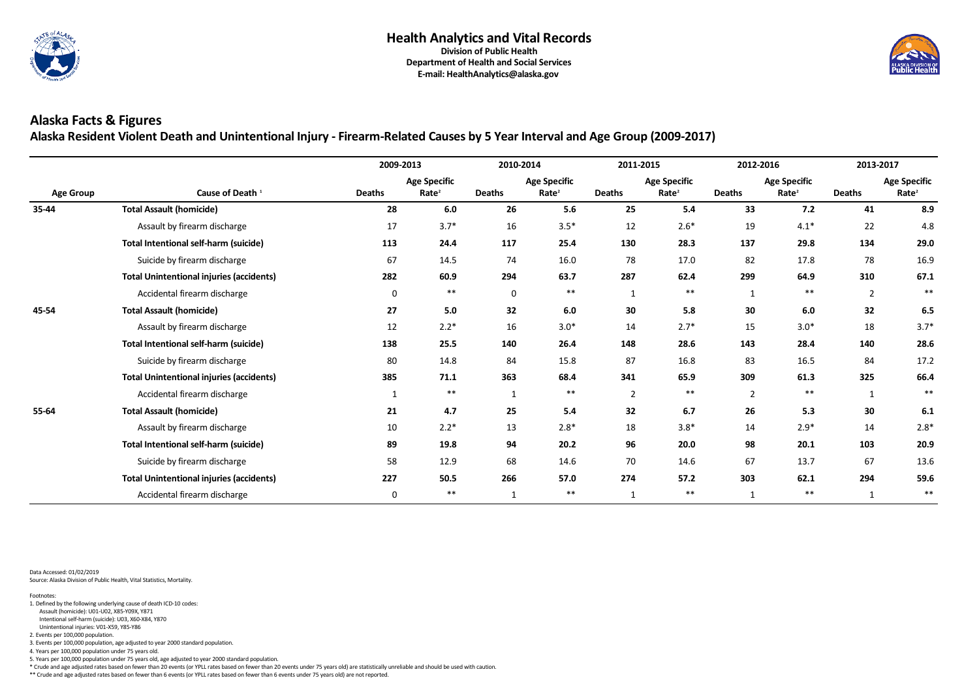

**E-mail: HealthAnalytics@alaska.gov**

# **Alaska Facts & Figures**

**Alaska Resident Violent Death and Unintentional Injury - Firearm-Related Causes by 5 Year Interval and Age Group (2009-2017)**

| <b>Age Group</b><br>35-44 |                                                 | 2009-2013     |                                          | 2010-2014     |                                          | 2011-2015      |                                          | 2012-2016      |                                          | 2013-2017      |                                          |
|---------------------------|-------------------------------------------------|---------------|------------------------------------------|---------------|------------------------------------------|----------------|------------------------------------------|----------------|------------------------------------------|----------------|------------------------------------------|
|                           | Cause of Death <sup>1</sup>                     | <b>Deaths</b> | <b>Age Specific</b><br>Rate <sup>2</sup> | <b>Deaths</b> | <b>Age Specific</b><br>Rate <sup>2</sup> | <b>Deaths</b>  | <b>Age Specific</b><br>Rate <sup>2</sup> | <b>Deaths</b>  | <b>Age Specific</b><br>Rate <sup>2</sup> | <b>Deaths</b>  | <b>Age Specific</b><br>Rate <sup>2</sup> |
|                           | <b>Total Assault (homicide)</b>                 | 28            | 6.0                                      | 26            | 5.6                                      | 25             | 5.4                                      | 33             | 7.2                                      | 41             | 8.9                                      |
|                           | Assault by firearm discharge                    | 17            | $3.7*$                                   | 16            | $3.5*$                                   | 12             | $2.6*$                                   | 19             | $4.1*$                                   | 22             | 4.8                                      |
|                           | <b>Total Intentional self-harm (suicide)</b>    | 113           | 24.4                                     | 117           | 25.4                                     | 130            | 28.3                                     | 137            | 29.8                                     | 134            | 29.0                                     |
|                           | Suicide by firearm discharge                    | 67            | 14.5                                     | 74            | 16.0                                     | 78             | 17.0                                     | 82             | 17.8                                     | 78             | 16.9                                     |
|                           | <b>Total Unintentional injuries (accidents)</b> | 282           | 60.9                                     | 294           | 63.7                                     | 287            | 62.4                                     | 299            | 64.9                                     | 310            | 67.1                                     |
|                           | Accidental firearm discharge                    | $\mathbf 0$   | $***$                                    | $\mathbf 0$   | **                                       |                | $***$                                    | $\mathbf{1}$   | $***$                                    | $\overline{2}$ | $***$                                    |
| 45-54                     | <b>Total Assault (homicide)</b>                 | 27            | 5.0                                      | 32            | 6.0                                      | 30             | 5.8                                      | 30             | 6.0                                      | 32             | 6.5                                      |
|                           | Assault by firearm discharge                    | 12            | $2.2*$                                   | 16            | $3.0*$                                   | 14             | $2.7*$                                   | 15             | $3.0*$                                   | 18             | $3.7*$                                   |
|                           | <b>Total Intentional self-harm (suicide)</b>    | 138           | 25.5                                     | 140           | 26.4                                     | 148            | 28.6                                     | 143            | 28.4                                     | 140            | 28.6                                     |
|                           | Suicide by firearm discharge                    | 80            | 14.8                                     | 84            | 15.8                                     | 87             | 16.8                                     | 83             | 16.5                                     | 84             | 17.2                                     |
|                           | <b>Total Unintentional injuries (accidents)</b> | 385           | 71.1                                     | 363           | 68.4                                     | 341            | 65.9                                     | 309            | 61.3                                     | 325            | 66.4                                     |
|                           | Accidental firearm discharge                    | 1             | $***$                                    | 1             | $***$                                    | $\overline{2}$ | $***$                                    | $\overline{2}$ | $***$                                    | $\mathbf{1}$   | $***$                                    |
| 55-64                     | <b>Total Assault (homicide)</b>                 | 21            | 4.7                                      | 25            | 5.4                                      | 32             | 6.7                                      | 26             | 5.3                                      | 30             | 6.1                                      |
|                           | Assault by firearm discharge                    | 10            | $2.2*$                                   | 13            | $2.8*$                                   | 18             | $3.8*$                                   | 14             | $2.9*$                                   | 14             | $2.8*$                                   |
|                           | <b>Total Intentional self-harm (suicide)</b>    | 89            | 19.8                                     | 94            | 20.2                                     | 96             | 20.0                                     | 98             | 20.1                                     | 103            | 20.9                                     |
|                           | Suicide by firearm discharge                    | 58            | 12.9                                     | 68            | 14.6                                     | 70             | 14.6                                     | 67             | 13.7                                     | 67             | 13.6                                     |
|                           | <b>Total Unintentional injuries (accidents)</b> | 227           | 50.5                                     | 266           | 57.0                                     | 274            | 57.2                                     | 303            | 62.1                                     | 294            | 59.6                                     |
|                           | Accidental firearm discharge                    | 0             | $***$                                    | $\mathbf{1}$  | $***$                                    | $\mathbf{1}$   | $***$                                    | $\mathbf 1$    | $***$                                    | $\mathbf 1$    | $***$                                    |

Data Accessed: 01/02/2019 Source: Alaska Division of Public Health, Vital Statistics, Mortality.

\*\* Crude and age adjusted rates based on fewer than 6 events (or YPLL rates based on fewer than 6 events under 75 years old) are not reported.



5. Years per 100,000 population under 75 years old, age adjusted to year 2000 standard population.

\* Crude and age adjusted rates based on fewer than 20 events (or YPLL rates based on fewer than 20 events under 75 years old) are statistically unreliable and should be used with caution.

3. Events per 100,000 population, age adjusted to year 2000 standard population.

4. Years per 100,000 population under 75 years old.

Unintentional injuries: V01-X59, Y85-Y86

2. Events per 100,000 population.

Intentional self-harm (suicide): U03, X60-X84, Y870

 Assault (homicide): U01-U02, X85-Y09X, Y871 1. Defined by the following underlying cause of death ICD-10 codes: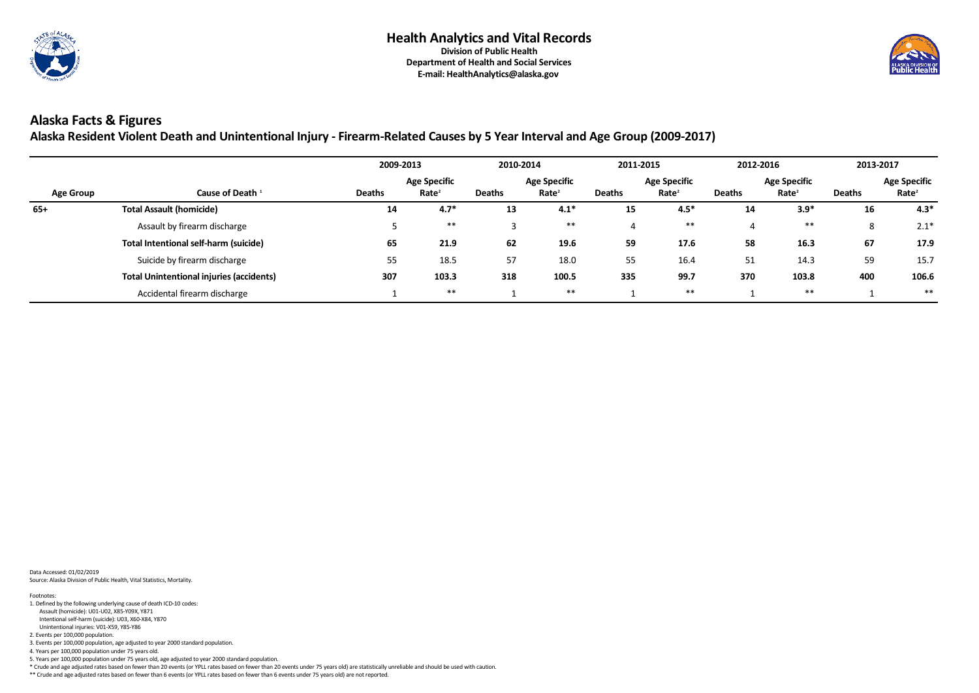

**Alaska Resident Violent Death and Unintentional Injury - Firearm-Related Causes by 5 Year Interval and Age Group (2009-2017)**

|                  |                                                 | 2009-2013     |                                          | 2010-2014     |                                          | 2011-2015     |                                          | 2012-2016     |                                          | 2013-2017     |                                          |
|------------------|-------------------------------------------------|---------------|------------------------------------------|---------------|------------------------------------------|---------------|------------------------------------------|---------------|------------------------------------------|---------------|------------------------------------------|
| <b>Age Group</b> | Cause of Death <sup>1</sup>                     | <b>Deaths</b> | <b>Age Specific</b><br>Rate <sup>2</sup> | <b>Deaths</b> | <b>Age Specific</b><br>Rate <sup>2</sup> | <b>Deaths</b> | <b>Age Specific</b><br>Rate <sup>2</sup> | <b>Deaths</b> | <b>Age Specific</b><br>Rate <sup>2</sup> | <b>Deaths</b> | <b>Age Specific</b><br>Rate <sup>2</sup> |
| $65+$            | <b>Total Assault (homicide)</b>                 | 14            | $4.7*$                                   | 13            | $4.1*$                                   | 15            | $4.5*$                                   | 14            | $3.9*$                                   | 16            | $4.3*$                                   |
|                  | Assault by firearm discharge                    |               | $***$                                    |               | $***$                                    |               | $***$                                    | 4             | **                                       | 8             | $2.1*$                                   |
|                  | Total Intentional self-harm (suicide)           | 65            | 21.9                                     | 62            | 19.6                                     | 59            | 17.6                                     | 58            | 16.3                                     | 67            | 17.9                                     |
|                  | Suicide by firearm discharge                    | 55            | 18.5                                     | 57            | 18.0                                     | 55            | 16.4                                     | 51            | 14.3                                     | 59            | 15.7                                     |
|                  | <b>Total Unintentional injuries (accidents)</b> | 307           | 103.3                                    | 318           | 100.5                                    | 335           | 99.7                                     | 370           | 103.8                                    | 400           | 106.6                                    |
|                  | Accidental firearm discharge                    |               | $***$                                    |               | $***$                                    |               | $***$                                    |               | $***$                                    |               | $***$                                    |

Data Accessed: 01/02/2019 Source: Alaska Division of Public Health, Vital Statistics, Mortality.

\*\* Crude and age adjusted rates based on fewer than 6 events (or YPLL rates based on fewer than 6 events under 75 years old) are not reported.



- 5. Years per 100,000 population under 75 years old, age adjusted to year 2000 standard population.
- \* Crude and age adjusted rates based on fewer than 20 events (or YPLL rates based on fewer than 20 events under 75 years old) are statistically unreliable and should be used with caution.

3. Events per 100,000 population, age adjusted to year 2000 standard population.

4. Years per 100,000 population under 75 years old.

- Assault (homicide): U01-U02, X85-Y09X, Y871 1. Defined by the following underlying cause of death ICD-10 codes:
- Intentional self-harm (suicide): U03, X60-X84, Y870
- Unintentional injuries: V01-X59, Y85-Y86

2. Events per 100,000 population.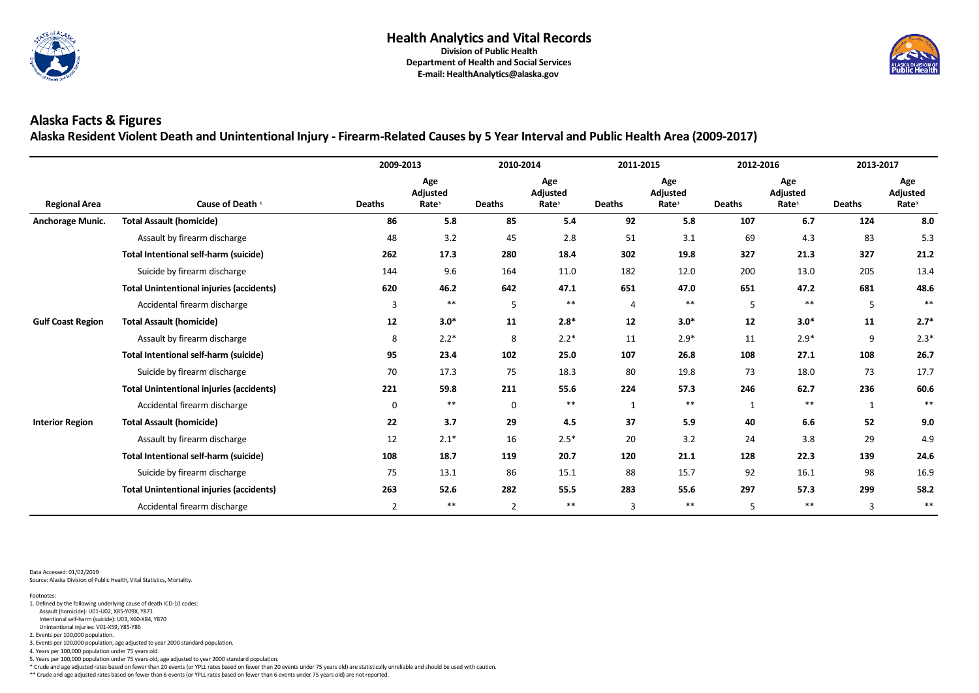

**Alaska Resident Violent Death and Unintentional Injury - Firearm-Related Causes by 5 Year Interval and Public Health Area (2009-2017)**

|                          |                                                 | 2009-2013      |                                             | 2010-2014      |                                             | 2011-2015      |                                             | 2012-2016     |                                             | 2013-2017      |                                             |
|--------------------------|-------------------------------------------------|----------------|---------------------------------------------|----------------|---------------------------------------------|----------------|---------------------------------------------|---------------|---------------------------------------------|----------------|---------------------------------------------|
| <b>Regional Area</b>     | Cause of Death <sup>1</sup>                     | <b>Deaths</b>  | Age<br><b>Adjusted</b><br>Rate <sup>3</sup> | <b>Deaths</b>  | Age<br><b>Adjusted</b><br>Rate <sup>3</sup> | <b>Deaths</b>  | Age<br><b>Adjusted</b><br>Rate <sup>3</sup> | <b>Deaths</b> | Age<br><b>Adjusted</b><br>Rate <sup>3</sup> | <b>Deaths</b>  | Age<br><b>Adjusted</b><br>Rate <sup>3</sup> |
| <b>Anchorage Munic.</b>  | <b>Total Assault (homicide)</b>                 | 86             | 5.8                                         | 85             | 5.4                                         | 92             | 5.8                                         | 107           | 6.7                                         | 124            | 8.0                                         |
|                          | Assault by firearm discharge                    | 48             | 3.2                                         | 45             | 2.8                                         | 51             | 3.1                                         | 69            | 4.3                                         | 83             | 5.3                                         |
|                          | <b>Total Intentional self-harm (suicide)</b>    | 262            | 17.3                                        | 280            | 18.4                                        | 302            | 19.8                                        | 327           | 21.3                                        | 327            | 21.2                                        |
|                          | Suicide by firearm discharge                    | 144            | 9.6                                         | 164            | 11.0                                        | 182            | 12.0                                        | 200           | 13.0                                        | 205            | 13.4                                        |
|                          | <b>Total Unintentional injuries (accidents)</b> | 620            | 46.2                                        | 642            | 47.1                                        | 651            | 47.0                                        | 651           | 47.2                                        | 681            | 48.6                                        |
|                          | Accidental firearm discharge                    | $\overline{3}$ | $***$                                       | 5              | $***$                                       | $\overline{4}$ | $***$                                       | 5             | $***$                                       | 5              | $***$                                       |
| <b>Gulf Coast Region</b> | <b>Total Assault (homicide)</b>                 | 12             | $3.0*$                                      | 11             | $2.8*$                                      | 12             | $3.0*$                                      | 12            | $3.0*$                                      | 11             | $2.7*$                                      |
|                          | Assault by firearm discharge                    | 8              | $2.2*$                                      | 8              | $2.2*$                                      | 11             | $2.9*$                                      | 11            | $2.9*$                                      | 9              | $2.3*$                                      |
|                          | <b>Total Intentional self-harm (suicide)</b>    | 95             | 23.4                                        | 102            | 25.0                                        | 107            | 26.8                                        | 108           | 27.1                                        | 108            | 26.7                                        |
|                          | Suicide by firearm discharge                    | 70             | 17.3                                        | 75             | 18.3                                        | 80             | 19.8                                        | 73            | 18.0                                        | 73             | 17.7                                        |
|                          | <b>Total Unintentional injuries (accidents)</b> | 221            | 59.8                                        | 211            | 55.6                                        | 224            | 57.3                                        | 246           | 62.7                                        | 236            | 60.6                                        |
|                          | Accidental firearm discharge                    | $\mathbf 0$    | **                                          | $\mathbf 0$    | **                                          | $\mathbf{1}$   | $***$                                       | $\mathbf 1$   | $***$                                       | $\mathbf{1}$   | $***$                                       |
| <b>Interior Region</b>   | <b>Total Assault (homicide)</b>                 | 22             | 3.7                                         | 29             | 4.5                                         | 37             | 5.9                                         | 40            | 6.6                                         | 52             | 9.0                                         |
|                          | Assault by firearm discharge                    | 12             | $2.1*$                                      | 16             | $2.5*$                                      | 20             | 3.2                                         | 24            | 3.8                                         | 29             | 4.9                                         |
|                          | <b>Total Intentional self-harm (suicide)</b>    | 108            | 18.7                                        | 119            | 20.7                                        | 120            | 21.1                                        | 128           | 22.3                                        | 139            | 24.6                                        |
|                          | Suicide by firearm discharge                    | 75             | 13.1                                        | 86             | 15.1                                        | 88             | 15.7                                        | 92            | 16.1                                        | 98             | 16.9                                        |
|                          | <b>Total Unintentional injuries (accidents)</b> | 263            | 52.6                                        | 282            | 55.5                                        | 283            | 55.6                                        | 297           | 57.3                                        | 299            | 58.2                                        |
|                          | Accidental firearm discharge                    | $\overline{2}$ | $***$                                       | $\overline{2}$ | $***$                                       | 3              | $***$                                       | 5             | $***$                                       | $\overline{3}$ | $***$                                       |

Data Accessed: 01/02/2019 Source: Alaska Division of Public Health, Vital Statistics, Mortality.

\*\* Crude and age adjusted rates based on fewer than 6 events (or YPLL rates based on fewer than 6 events under 75 years old) are not reported.



5. Years per 100,000 population under 75 years old, age adjusted to year 2000 standard population.

\* Crude and age adjusted rates based on fewer than 20 events (or YPLL rates based on fewer than 20 events under 75 years old) are statistically unreliable and should be used with caution.

3. Events per 100,000 population, age adjusted to year 2000 standard population.

4. Years per 100,000 population under 75 years old.

2. Events per 100,000 population.

- 1. Defined by the following underlying cause of death ICD-10 codes:
- Assault (homicide): U01-U02, X85-Y09X, Y871 Intentional self-harm (suicide): U03, X60-X84, Y870
- Unintentional injuries: V01-X59, Y85-Y86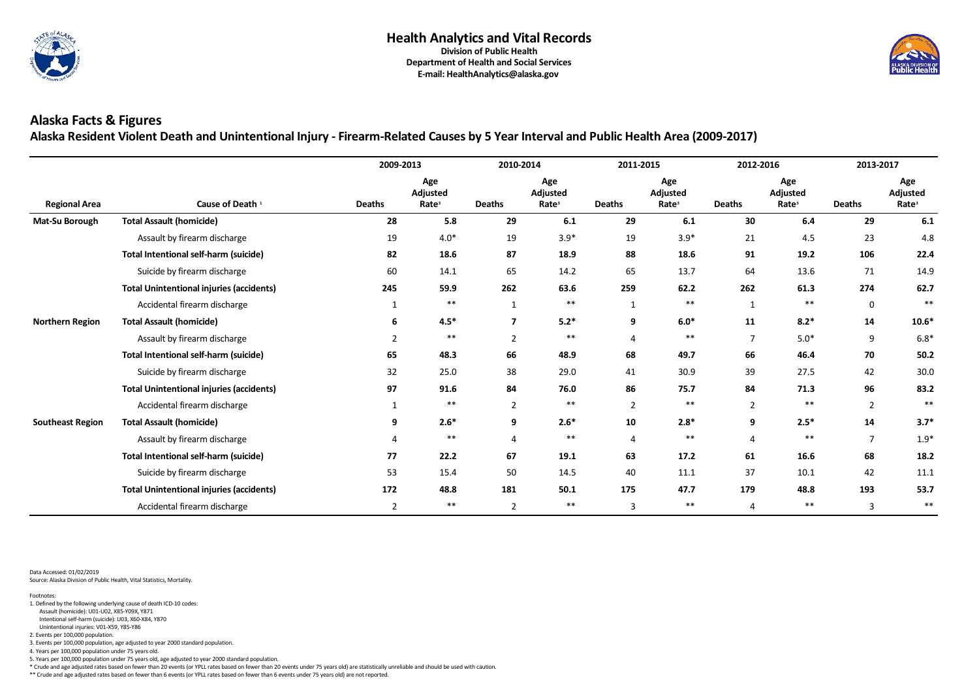

**Alaska Resident Violent Death and Unintentional Injury - Firearm-Related Causes by 5 Year Interval and Public Health Area (2009-2017)**

|                         |                                                 | 2009-2013      |                                             | 2010-2014      |                                             | 2011-2015      |                                             | 2012-2016      |                                      | 2013-2017      |                                             |
|-------------------------|-------------------------------------------------|----------------|---------------------------------------------|----------------|---------------------------------------------|----------------|---------------------------------------------|----------------|--------------------------------------|----------------|---------------------------------------------|
| <b>Regional Area</b>    | Cause of Death <sup>1</sup>                     | <b>Deaths</b>  | Age<br><b>Adjusted</b><br>Rate <sup>3</sup> | <b>Deaths</b>  | Age<br><b>Adjusted</b><br>Rate <sup>3</sup> | <b>Deaths</b>  | Age<br><b>Adjusted</b><br>Rate <sup>3</sup> | <b>Deaths</b>  | Age<br>Adjusted<br>Rate <sup>3</sup> | <b>Deaths</b>  | Age<br><b>Adjusted</b><br>Rate <sup>3</sup> |
| Mat-Su Borough          | <b>Total Assault (homicide)</b>                 | 28             | 5.8                                         | 29             | 6.1                                         | 29             | 6.1                                         | 30             | 6.4                                  | 29             | 6.1                                         |
|                         | Assault by firearm discharge                    | 19             | $4.0*$                                      | 19             | $3.9*$                                      | 19             | $3.9*$                                      | 21             | 4.5                                  | 23             | 4.8                                         |
|                         | <b>Total Intentional self-harm (suicide)</b>    | 82             | 18.6                                        | 87             | 18.9                                        | 88             | 18.6                                        | 91             | 19.2                                 | 106            | 22.4                                        |
|                         | Suicide by firearm discharge                    | 60             | 14.1                                        | 65             | 14.2                                        | 65             | 13.7                                        | 64             | 13.6                                 | 71             | 14.9                                        |
|                         | <b>Total Unintentional injuries (accidents)</b> | 245            | 59.9                                        | 262            | 63.6                                        | 259            | 62.2                                        | 262            | 61.3                                 | 274            | 62.7                                        |
|                         | Accidental firearm discharge                    |                | $***$                                       | $\mathbf{1}$   | $***$                                       | $\mathbf{1}$   | $***$                                       | $\mathbf{1}$   | $***$                                | $\mathbf 0$    | $***$                                       |
| <b>Northern Region</b>  | <b>Total Assault (homicide)</b>                 | 6              | $4.5*$                                      | $\overline{7}$ | $5.2*$                                      | 9              | $6.0*$                                      | 11             | $8.2*$                               | 14             | $10.6*$                                     |
|                         | Assault by firearm discharge                    | $\overline{2}$ | $***$                                       | $\overline{2}$ | $***$                                       | 4              | $***$                                       | $\overline{7}$ | $5.0*$                               | 9              | $6.8*$                                      |
|                         | <b>Total Intentional self-harm (suicide)</b>    | 65             | 48.3                                        | 66             | 48.9                                        | 68             | 49.7                                        | 66             | 46.4                                 | 70             | 50.2                                        |
|                         | Suicide by firearm discharge                    | 32             | 25.0                                        | 38             | 29.0                                        | 41             | 30.9                                        | 39             | 27.5                                 | 42             | 30.0                                        |
|                         | <b>Total Unintentional injuries (accidents)</b> | 97             | 91.6                                        | 84             | 76.0                                        | 86             | 75.7                                        | 84             | 71.3                                 | 96             | 83.2                                        |
|                         | Accidental firearm discharge                    |                | $***$                                       | $\overline{2}$ | $***$                                       | $\overline{2}$ | $***$                                       | $\overline{2}$ | $***$                                | $\overline{2}$ | $***$                                       |
| <b>Southeast Region</b> | <b>Total Assault (homicide)</b>                 | 9              | $2.6*$                                      | 9              | $2.6*$                                      | 10             | $2.8*$                                      | 9              | $2.5*$                               | 14             | $3.7*$                                      |
|                         | Assault by firearm discharge                    | 4              | $***$                                       |                | $***$                                       | 4              | $***$                                       | 4              | $***$                                | $\overline{7}$ | $1.9*$                                      |
|                         | <b>Total Intentional self-harm (suicide)</b>    | 77             | 22.2                                        | 67             | 19.1                                        | 63             | 17.2                                        | 61             | 16.6                                 | 68             | 18.2                                        |
|                         | Suicide by firearm discharge                    | 53             | 15.4                                        | 50             | 14.5                                        | 40             | 11.1                                        | 37             | 10.1                                 | 42             | 11.1                                        |
|                         | <b>Total Unintentional injuries (accidents)</b> | 172            | 48.8                                        | 181            | 50.1                                        | 175            | 47.7                                        | 179            | 48.8                                 | 193            | 53.7                                        |
|                         | Accidental firearm discharge                    | $\overline{2}$ | $***$                                       | $\overline{2}$ | $***$                                       | 3              | $***$                                       | 4              | $***$                                | $\overline{3}$ | $***$                                       |

Data Accessed: 01/02/2019 Source: Alaska Division of Public Health, Vital Statistics, Mortality.

\*\* Crude and age adjusted rates based on fewer than 6 events (or YPLL rates based on fewer than 6 events under 75 years old) are not reported.



5. Years per 100,000 population under 75 years old, age adjusted to year 2000 standard population.

\* Crude and age adjusted rates based on fewer than 20 events (or YPLL rates based on fewer than 20 events under 75 years old) are statistically unreliable and should be used with caution.

3. Events per 100,000 population, age adjusted to year 2000 standard population.

4. Years per 100,000 population under 75 years old.

2. Events per 100,000 population.

 Unintentional injuries: V01-X59, Y85-Y86 Intentional self-harm (suicide): U03, X60-X84, Y870

Assault (homicide): U01-U02, X85-Y09X, Y871

Footnotes: 1. Defined by the following underlying cause of death ICD-10 codes: